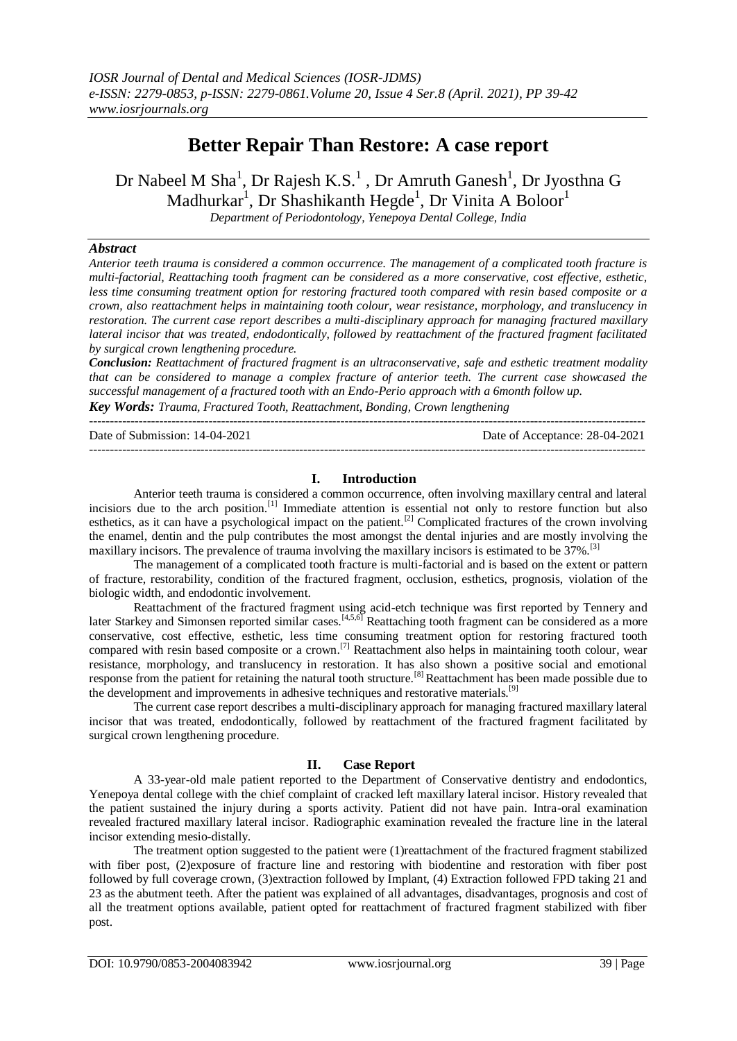# **Better Repair Than Restore: A case report**

Dr Nabeel M Sha<sup>1</sup>, Dr Rajesh K.S.<sup>1</sup> , Dr Amruth Ganesh<sup>1</sup>, Dr Jyosthna G Madhurkar<sup>1</sup>, Dr Shashikanth Hegde<sup>1</sup>, Dr Vinita A Boloor<sup>1</sup>

*Department of Periodontology, Yenepoya Dental College, India*

## *Abstract*

*Anterior teeth trauma is considered a common occurrence. The management of a complicated tooth fracture is multi-factorial, Reattaching tooth fragment can be considered as a more conservative, cost effective, esthetic, less time consuming treatment option for restoring fractured tooth compared with resin based composite or a crown, also reattachment helps in maintaining tooth colour, wear resistance, morphology, and translucency in restoration. The current case report describes a multi-disciplinary approach for managing fractured maxillary lateral incisor that was treated, endodontically, followed by reattachment of the fractured fragment facilitated by surgical crown lengthening procedure.*

*Conclusion: Reattachment of fractured fragment is an ultraconservative, safe and esthetic treatment modality that can be considered to manage a complex fracture of anterior teeth. The current case showcased the successful management of a fractured tooth with an Endo-Perio approach with a 6month follow up.* 

*Key Words: Trauma, Fractured Tooth, Reattachment, Bonding, Crown lengthening*

--------------------------------------------------------------------------------------------------------------------------------------- Date of Submission: 14-04-2021 Date of Acceptance: 28-04-2021 ---------------------------------------------------------------------------------------------------------------------------------------

# **I. Introduction**

Anterior teeth trauma is considered a common occurrence, often involving maxillary central and lateral incisiors due to the arch position.[1] Immediate attention is essential not only to restore function but also esthetics, as it can have a psychological impact on the patient.<sup>[2]</sup> Complicated fractures of the crown involving the enamel, dentin and the pulp contributes the most amongst the dental injuries and are mostly involving the maxillary incisors. The prevalence of trauma involving the maxillary incisors is estimated to be 37%.<sup>[3]</sup>

The management of a complicated tooth fracture is multi-factorial and is based on the extent or pattern of fracture, restorability, condition of the fractured fragment, occlusion, esthetics, prognosis, violation of the biologic width, and endodontic involvement.

Reattachment of the fractured fragment using acid-etch technique was first reported by Tennery and later Starkey and Simonsen reported similar cases.<sup>[4,5,6]</sup> Reattaching tooth fragment can be considered as a more conservative, cost effective, esthetic, less time consuming treatment option for restoring fractured tooth compared with resin based composite or a crown.<sup>[7]</sup> Reattachment also helps in maintaining tooth colour, wear resistance, morphology, and translucency in restoration. It has also shown a positive social and emotional response from the patient for retaining the natural tooth structure.[8] Reattachment has been made possible due to the development and improvements in adhesive techniques and restorative materials.<sup>[9]</sup>

The current case report describes a multi-disciplinary approach for managing fractured maxillary lateral incisor that was treated, endodontically, followed by reattachment of the fractured fragment facilitated by surgical crown lengthening procedure.

### **II. Case Report**

A 33-year-old male patient reported to the Department of Conservative dentistry and endodontics, Yenepoya dental college with the chief complaint of cracked left maxillary lateral incisor. History revealed that the patient sustained the injury during a sports activity. Patient did not have pain. Intra-oral examination revealed fractured maxillary lateral incisor. Radiographic examination revealed the fracture line in the lateral incisor extending mesio-distally.

The treatment option suggested to the patient were (1)reattachment of the fractured fragment stabilized with fiber post, (2)exposure of fracture line and restoring with biodentine and restoration with fiber post followed by full coverage crown, (3)extraction followed by Implant, (4) Extraction followed FPD taking 21 and 23 as the abutment teeth. After the patient was explained of all advantages, disadvantages, prognosis and cost of all the treatment options available, patient opted for reattachment of fractured fragment stabilized with fiber post.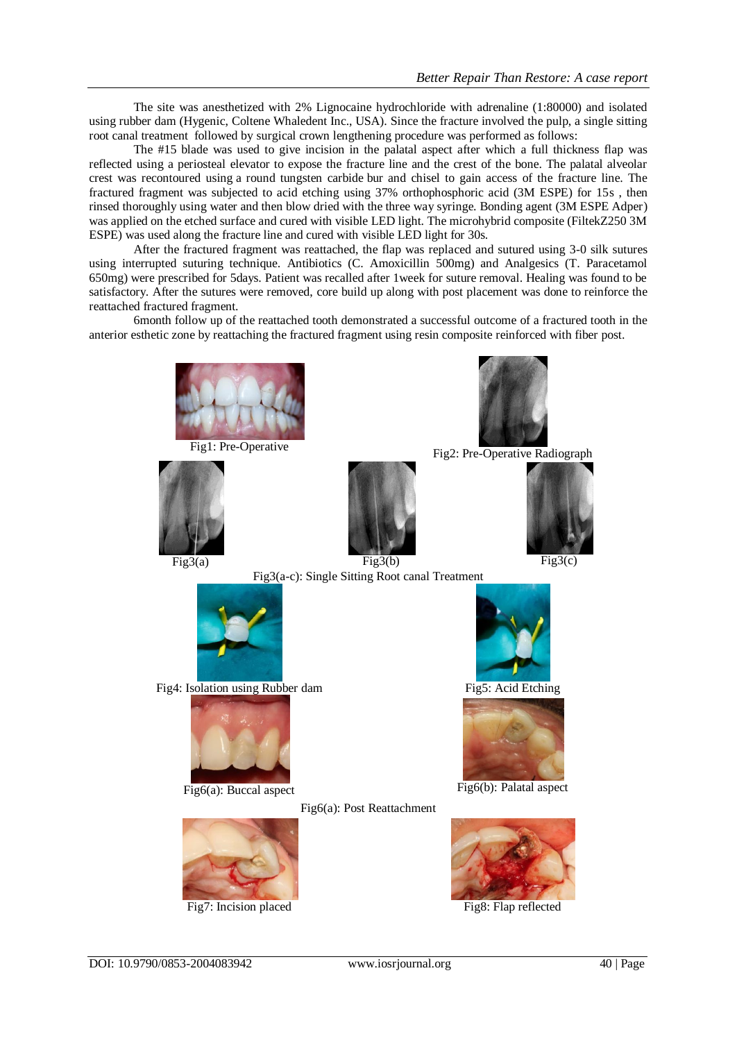The site was anesthetized with 2% Lignocaine hydrochloride with adrenaline (1:80000) and isolated using rubber dam (Hygenic, Coltene Whaledent Inc., USA). Since the fracture involved the pulp, a single sitting root canal treatment followed by surgical crown lengthening procedure was performed as follows:

The #15 blade was used to give incision in the palatal aspect after which a full thickness flap was reflected using a periosteal elevator to expose the fracture line and the crest of the bone. The palatal alveolar crest was recontoured using a round tungsten carbide bur and chisel to gain access of the fracture line. The fractured fragment was subjected to acid etching using 37% orthophosphoric acid (3M ESPE) for 15s , then rinsed thoroughly using water and then blow dried with the three way syringe. Bonding agent (3M ESPE Adper) was applied on the etched surface and cured with visible LED light. The microhybrid composite (FiltekZ250 3M ESPE) was used along the fracture line and cured with visible LED light for 30s.

After the fractured fragment was reattached, the flap was replaced and sutured using 3-0 silk sutures using interrupted suturing technique. Antibiotics (C. Amoxicillin 500mg) and Analgesics (T. Paracetamol 650mg) were prescribed for 5days. Patient was recalled after 1week for suture removal. Healing was found to be satisfactory. After the sutures were removed, core build up along with post placement was done to reinforce the reattached fractured fragment.

6month follow up of the reattached tooth demonstrated a successful outcome of a fractured tooth in the anterior esthetic zone by reattaching the fractured fragment using resin composite reinforced with fiber post.

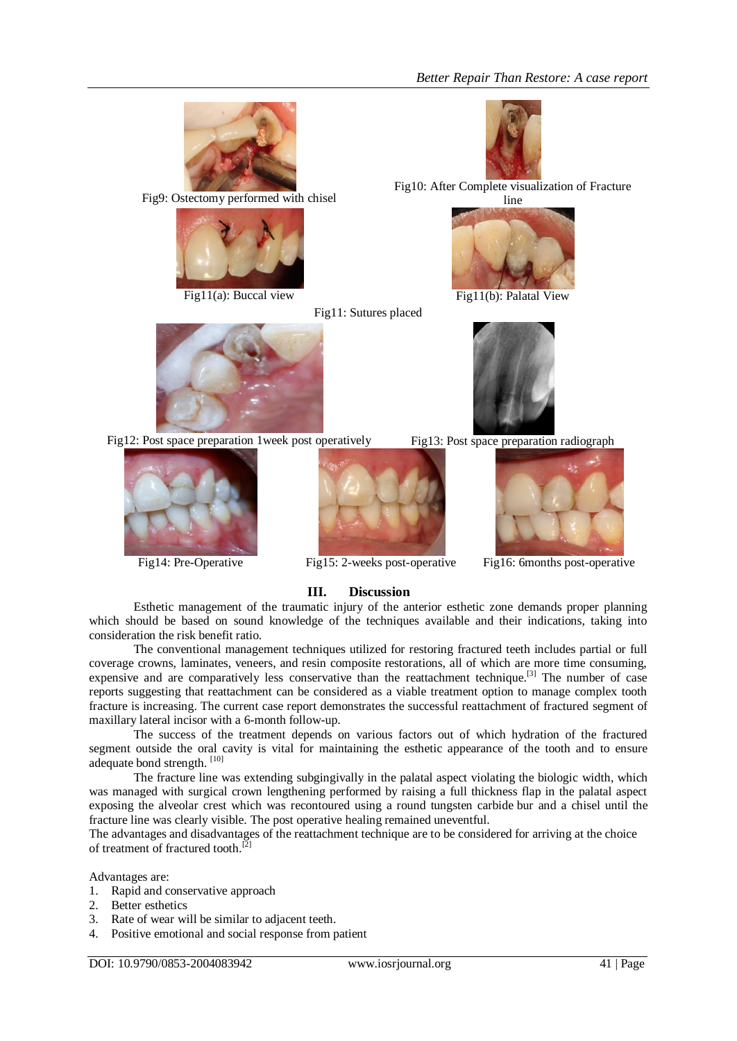

Fig9: Ostectomy performed with chisel



Fig11: Sutures placed



Fig10: After Complete visualization of Fracture



Fig11(a): Buccal view Fig11(b): Palatal View



Fig12: Post space preparation 1 week post operatively Fig13: Post space preparation radiograph









Fig14: Pre-Operative Fig15: 2-weeks post-operative Fig16: 6months post-operative

# **III. Discussion**

Esthetic management of the traumatic injury of the anterior esthetic zone demands proper planning which should be based on sound knowledge of the techniques available and their indications, taking into consideration the risk benefit ratio.

The conventional management techniques utilized for restoring fractured teeth includes partial or full coverage crowns, laminates, veneers, and resin composite restorations, all of which are more time consuming, expensive and are comparatively less conservative than the reattachment technique.<sup>[3]</sup> The number of case reports suggesting that reattachment can be considered as a viable treatment option to manage complex tooth fracture is increasing. The current case report demonstrates the successful reattachment of fractured segment of maxillary lateral incisor with a 6-month follow-up.

The success of the treatment depends on various factors out of which hydration of the fractured segment outside the oral cavity is vital for maintaining the esthetic appearance of the tooth and to ensure adequate bond strength. [10]

The fracture line was extending subgingivally in the palatal aspect violating the biologic width, which was managed with surgical crown lengthening performed by raising a full thickness flap in the palatal aspect exposing the alveolar crest which was recontoured using a round tungsten carbide bur and a chisel until the fracture line was clearly visible. The post operative healing remained uneventful.

The advantages and disadvantages of the reattachment technique are to be considered for arriving at the choice of treatment of fractured tooth.<sup>[2]</sup>

Advantages are:

- 1. Rapid and conservative approach
- 2. Better esthetics
- 3. Rate of wear will be similar to adjacent teeth.
- 4. Positive emotional and social response from patient